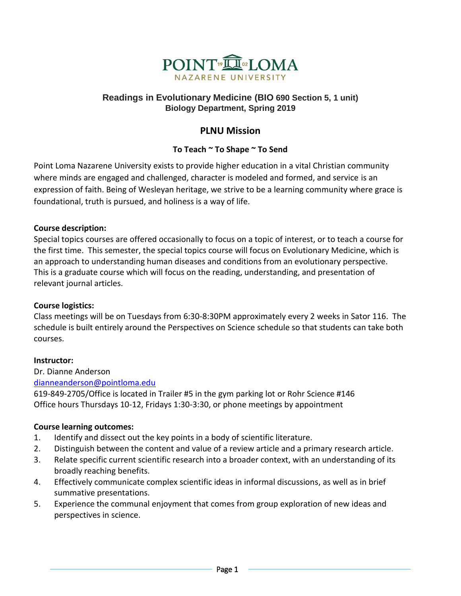

## **Readings in Evolutionary Medicine (BIO 690 Section 5, 1 unit) Biology Department, Spring 2019**

# **PLNU Mission**

## **To Teach ~ To Shape ~ To Send**

Point Loma Nazarene University exists to provide higher education in a vital Christian community where minds are engaged and challenged, character is modeled and formed, and service is an expression of faith. Being of Wesleyan heritage, we strive to be a learning community where grace is foundational, truth is pursued, and holiness is a way of life.

## **Course description:**

Special topics courses are offered occasionally to focus on a topic of interest, or to teach a course for the first time. This semester, the special topics course will focus on Evolutionary Medicine, which is an approach to understanding human diseases and conditions from an evolutionary perspective. This is a graduate course which will focus on the reading, understanding, and presentation of relevant journal articles.

## **Course logistics:**

Class meetings will be on Tuesdays from 6:30-8:30PM approximately every 2 weeks in Sator 116. The schedule is built entirely around the Perspectives on Science schedule so that students can take both courses.

## **Instructor:**

Dr. Dianne Anderson [dianneanderson@pointloma.edu](mailto:dianneanderson@pointloma.edu)

619-849-2705/Office is located in Trailer #5 in the gym parking lot or Rohr Science #146 Office hours Thursdays 10-12, Fridays 1:30-3:30, or phone meetings by appointment

## **Course learning outcomes:**

- 1. Identify and dissect out the key points in a body of scientific literature.
- 2. Distinguish between the content and value of a review article and a primary research article.
- 3. Relate specific current scientific research into a broader context, with an understanding of its broadly reaching benefits.
- 4. Effectively communicate complex scientific ideas in informal discussions, as well as in brief summative presentations.
- 5. Experience the communal enjoyment that comes from group exploration of new ideas and perspectives in science.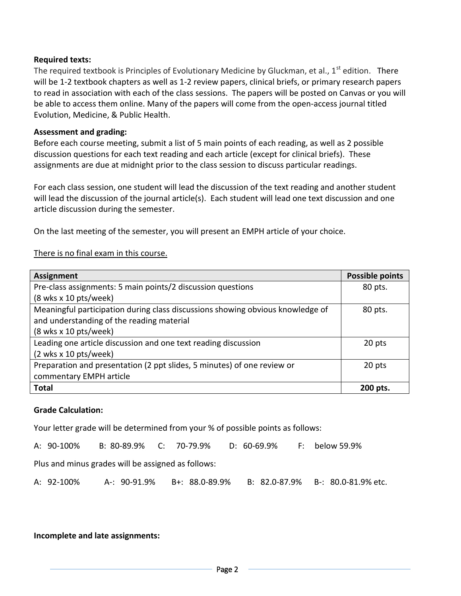#### **Required texts:**

The required textbook is Principles of Evolutionary Medicine by Gluckman, et al.,  $1^{st}$  edition. There will be 1-2 textbook chapters as well as 1-2 review papers, clinical briefs, or primary research papers to read in association with each of the class sessions. The papers will be posted on Canvas or you will be able to access them online. Many of the papers will come from the open-access journal titled Evolution, Medicine, & Public Health.

#### **Assessment and grading:**

Before each course meeting, submit a list of 5 main points of each reading, as well as 2 possible discussion questions for each text reading and each article (except for clinical briefs). These assignments are due at midnight prior to the class session to discuss particular readings.

For each class session, one student will lead the discussion of the text reading and another student will lead the discussion of the journal article(s). Each student will lead one text discussion and one article discussion during the semester.

On the last meeting of the semester, you will present an EMPH article of your choice.

#### There is no final exam in this course.

| Assignment                                                                     | <b>Possible points</b> |
|--------------------------------------------------------------------------------|------------------------|
| Pre-class assignments: 5 main points/2 discussion questions                    | 80 pts.                |
| $(8$ wks x 10 pts/week)                                                        |                        |
| Meaningful participation during class discussions showing obvious knowledge of | 80 pts.                |
| and understanding of the reading material                                      |                        |
| $(8$ wks x 10 pts/week)                                                        |                        |
| Leading one article discussion and one text reading discussion                 | 20 pts                 |
| $(2 \text{ wks} \times 10 \text{ pts/week})$                                   |                        |
| Preparation and presentation (2 ppt slides, 5 minutes) of one review or        | 20 pts                 |
| commentary EMPH article                                                        |                        |
| <b>Total</b>                                                                   | 200 pts.               |

#### **Grade Calculation:**

Your letter grade will be determined from your % of possible points as follows:

A: 90-100% B: 80-89.9% C: 70-79.9% D: 60-69.9% F: below 59.9%

Plus and minus grades will be assigned as follows:

A: 92-100% A-: 90-91.9% B+: 88.0-89.9% B: 82.0-87.9% B-: 80.0-81.9% etc.

#### **Incomplete and late assignments:**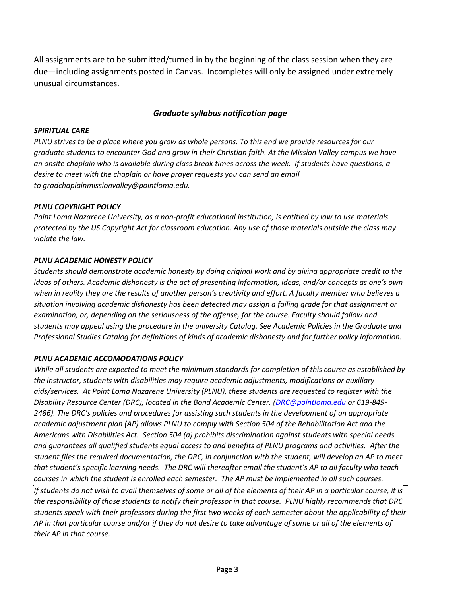All assignments are to be submitted/turned in by the beginning of the class session when they are due—including assignments posted in Canvas. Incompletes will only be assigned under extremely unusual circumstances.

#### *Graduate syllabus notification page*

#### *SPIRITUAL CARE*

*PLNU strives to be a place where you grow as whole persons. To this end we provide resources for our graduate students to encounter God and grow in their Christian faith. At the Mission Valley campus we have an onsite chaplain who is available during class break times across the week. If students have questions, a desire to meet with the chaplain or have prayer requests you can send an email to [gradchaplainmissionvalley@pointloma.edu.](mailto:gradchaplainmissionvalley@pointloma.edu)*

#### *PLNU COPYRIGHT POLICY*

*Point Loma Nazarene University, as a non-profit educational institution, is entitled by law to use materials protected by the US Copyright Act for classroom education. Any use of those materials outside the class may violate the law.*

#### *PLNU ACADEMIC HONESTY POLICY*

*Students should demonstrate academic honesty by doing original work and by giving appropriate credit to the ideas of others. Academic dishonesty is the act of presenting information, ideas, and/or concepts as one's own when in reality they are the results of another person's creativity and effort. A faculty member who believes a situation involving academic dishonesty has been detected may assign a failing grade for that assignment or examination, or, depending on the seriousness of the offense, for the course. Faculty should follow and students may appeal using the procedure in the university Catalog. See Academic Policies in the Graduate and Professional Studies Catalog for definitions of kinds of academic dishonesty and for further policy information.*

#### *PLNU ACADEMIC ACCOMODATIONS POLICY*

*While all students are expected to meet the minimum standards for completion of this course as established by the instructor, students with disabilities may require academic adjustments, modifications or auxiliary aids/services. At Point Loma Nazarene University (PLNU), these students are requested to register with the Disability Resource Center (DRC), located in the Bond Academic Center. [\(DRC@pointloma.edu](mailto:DRC@pointloma.edu) or 619-849- 2486). The DRC's policies and procedures for assisting such students in the development of an appropriate academic adjustment plan (AP) allows PLNU to comply with Section 504 of the Rehabilitation Act and the Americans with Disabilities Act. Section 504 (a) prohibits discrimination against students with special needs and guarantees all qualified students equal access to and benefits of PLNU programs and activities. After the student files the required documentation, the DRC, in conjunction with the student, will develop an AP to meet that student's specific learning needs. The DRC will thereafter email the student's AP to all faculty who teach courses in which the student is enrolled each semester. The AP must be implemented in all such courses. If students do not wish to avail themselves of some or all of the elements of their AP in a particular course, it is the responsibility of those students to notify their professor in that course. PLNU highly recommends that DRC students speak with their professors during the first two weeks of each semester about the applicability of their AP in that particular course and/or if they do not desire to take advantage of some or all of the elements of their AP in that course.*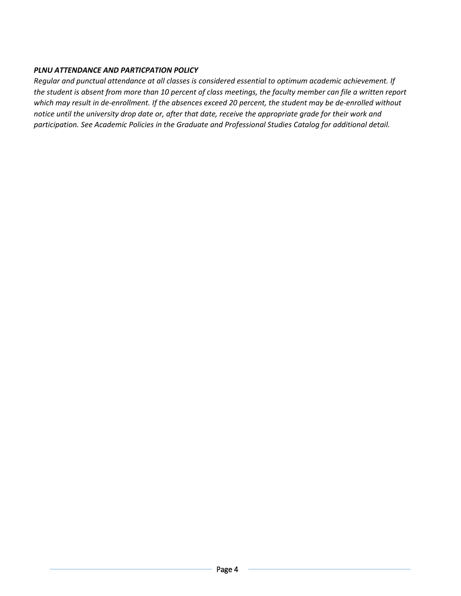### *PLNU ATTENDANCE AND PARTICPATION POLICY*

*Regular and punctual attendance at all classes is considered essential to optimum academic achievement. If the student is absent from more than 10 percent of class meetings, the faculty member can file a written report which may result in de-enrollment. If the absences exceed 20 percent, the student may be de-enrolled without notice until the university drop date or, after that date, receive the appropriate grade for their work and participation. See Academic Policies in the Graduate and Professional Studies Catalog for additional detail.*